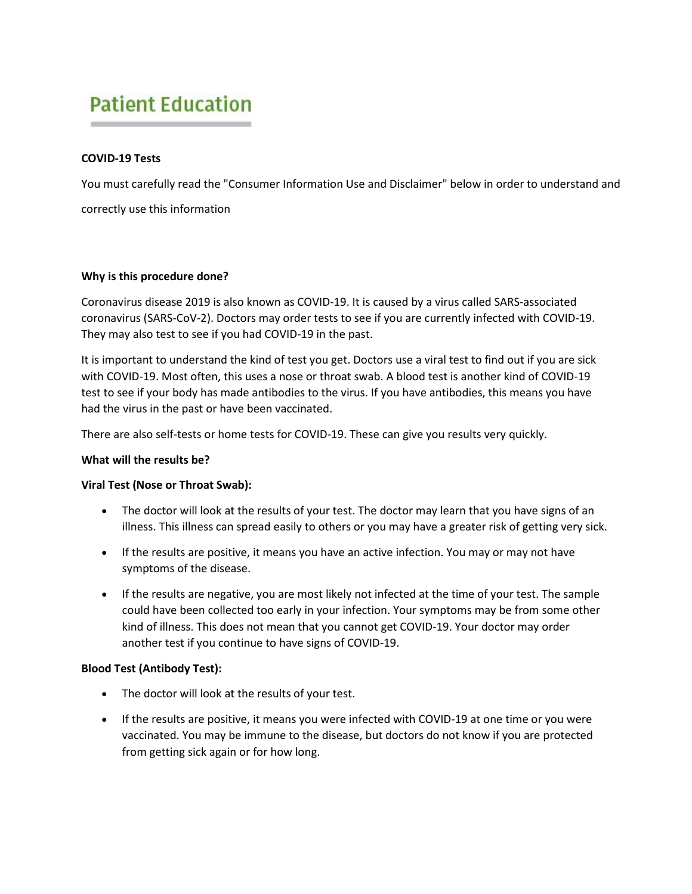# **Patient Education**

# **COVID-19 Tests**

You must carefully read the "Consumer Information Use and Disclaimer" below in order to understand and correctly use this information

# **Why is this procedure done?**

Coronavirus disease 2019 is also known as COVID-19. It is caused by a virus called SARS-associated coronavirus (SARS-CoV-2). Doctors may order tests to see if you are currently infected with COVID-19. They may also test to see if you had COVID-19 in the past.

It is important to understand the kind of test you get. Doctors use a viral test to find out if you are sick with COVID-19. Most often, this uses a nose or throat swab. A blood test is another kind of COVID-19 test to see if your body has made antibodies to the virus. If you have antibodies, this means you have had the virus in the past or have been vaccinated.

There are also self-tests or home tests for COVID-19. These can give you results very quickly.

# **What will the results be?**

# **Viral Test (Nose or Throat Swab):**

- The doctor will look at the results of your test. The doctor may learn that you have signs of an illness. This illness can spread easily to others or you may have a greater risk of getting very sick.
- If the results are positive, it means you have an active infection. You may or may not have symptoms of the disease.
- If the results are negative, you are most likely not infected at the time of your test. The sample could have been collected too early in your infection. Your symptoms may be from some other kind of illness. This does not mean that you cannot get COVID-19. Your doctor may order another test if you continue to have signs of COVID-19.

# **Blood Test (Antibody Test):**

- The doctor will look at the results of your test.
- If the results are positive, it means you were infected with COVID-19 at one time or you were vaccinated. You may be immune to the disease, but doctors do not know if you are protected from getting sick again or for how long.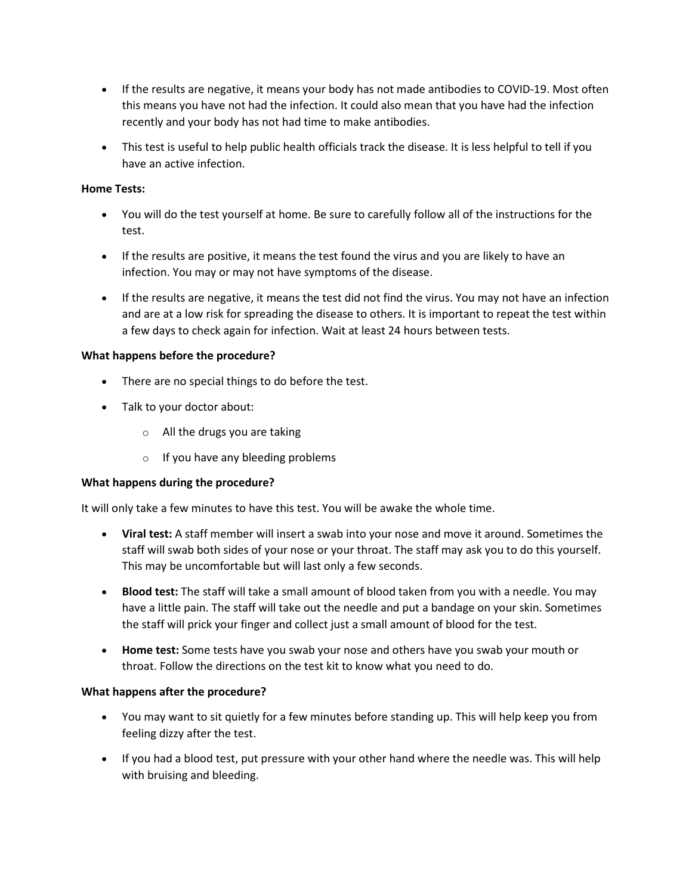- If the results are negative, it means your body has not made antibodies to COVID-19. Most often this means you have not had the infection. It could also mean that you have had the infection recently and your body has not had time to make antibodies.
- This test is useful to help public health officials track the disease. It is less helpful to tell if you have an active infection.

# **Home Tests:**

- You will do the test yourself at home. Be sure to carefully follow all of the instructions for the test.
- If the results are positive, it means the test found the virus and you are likely to have an infection. You may or may not have symptoms of the disease.
- If the results are negative, it means the test did not find the virus. You may not have an infection and are at a low risk for spreading the disease to others. It is important to repeat the test within a few days to check again for infection. Wait at least 24 hours between tests.

# **What happens before the procedure?**

- There are no special things to do before the test.
- Talk to your doctor about:
	- $\circ$  All the drugs you are taking
	- $\circ$  If you have any bleeding problems

# **What happens during the procedure?**

It will only take a few minutes to have this test. You will be awake the whole time.

- **Viral test:** A staff member will insert a swab into your nose and move it around. Sometimes the staff will swab both sides of your nose or your throat. The staff may ask you to do this yourself. This may be uncomfortable but will last only a few seconds.
- **Blood test:** The staff will take a small amount of blood taken from you with a needle. You may have a little pain. The staff will take out the needle and put a bandage on your skin. Sometimes the staff will prick your finger and collect just a small amount of blood for the test.
- **Home test:** Some tests have you swab your nose and others have you swab your mouth or throat. Follow the directions on the test kit to know what you need to do.

# **What happens after the procedure?**

- You may want to sit quietly for a few minutes before standing up. This will help keep you from feeling dizzy after the test.
- If you had a blood test, put pressure with your other hand where the needle was. This will help with bruising and bleeding.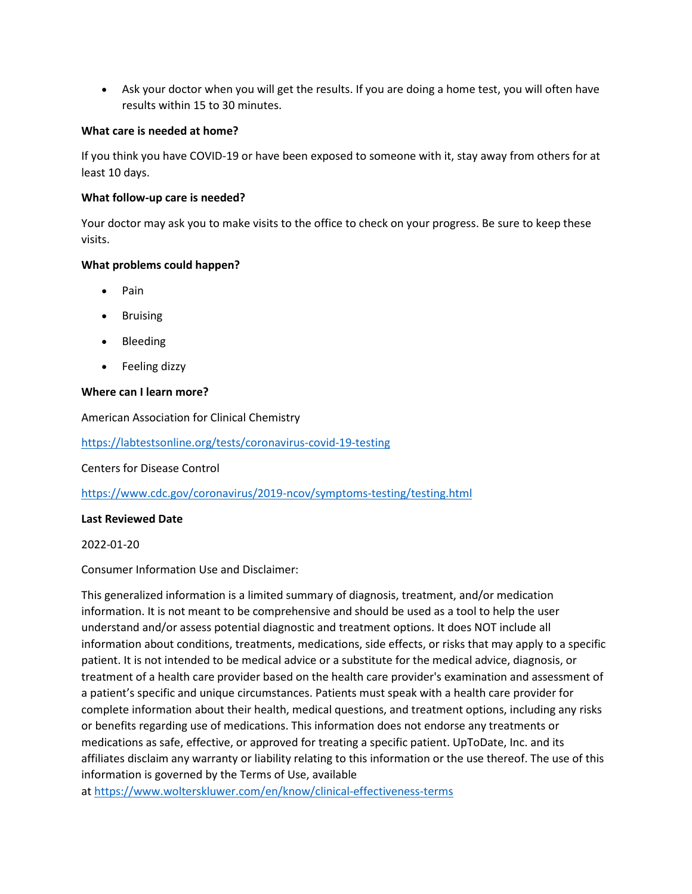• Ask your doctor when you will get the results. If you are doing a home test, you will often have results within 15 to 30 minutes.

## **What care is needed at home?**

If you think you have COVID-19 or have been exposed to someone with it, stay away from others for at least 10 days.

## **What follow-up care is needed?**

Your doctor may ask you to make visits to the office to check on your progress. Be sure to keep these visits.

## **What problems could happen?**

- Pain
- Bruising
- Bleeding
- Feeling dizzy

# **Where can I learn more?**

American Association for Clinical Chemistry

<https://labtestsonline.org/tests/coronavirus-covid-19-testing>

Centers for Disease Control

<https://www.cdc.gov/coronavirus/2019-ncov/symptoms-testing/testing.html>

#### **Last Reviewed Date**

#### 2022-01-20

Consumer Information Use and Disclaimer:

This generalized information is a limited summary of diagnosis, treatment, and/or medication information. It is not meant to be comprehensive and should be used as a tool to help the user understand and/or assess potential diagnostic and treatment options. It does NOT include all information about conditions, treatments, medications, side effects, or risks that may apply to a specific patient. It is not intended to be medical advice or a substitute for the medical advice, diagnosis, or treatment of a health care provider based on the health care provider's examination and assessment of a patient's specific and unique circumstances. Patients must speak with a health care provider for complete information about their health, medical questions, and treatment options, including any risks or benefits regarding use of medications. This information does not endorse any treatments or medications as safe, effective, or approved for treating a specific patient. UpToDate, Inc. and its affiliates disclaim any warranty or liability relating to this information or the use thereof. The use of this information is governed by the Terms of Use, available

at <https://www.wolterskluwer.com/en/know/clinical-effectiveness-terms>